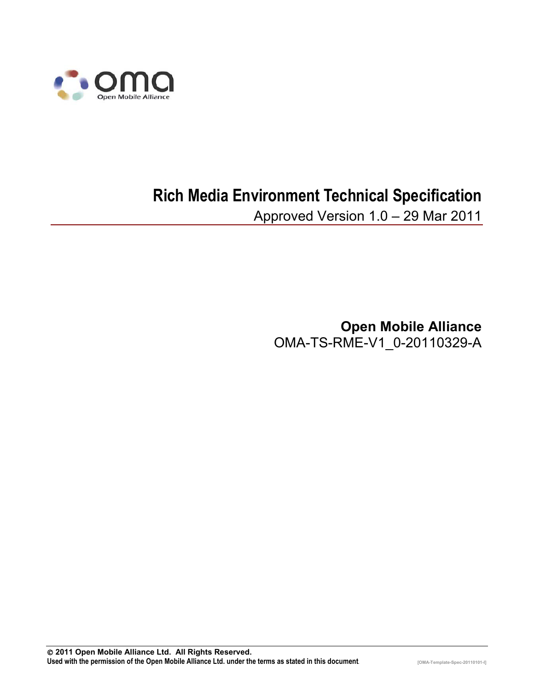

# **Rich Media Environment Technical Specification**

Approved Version 1.0 – 29 Mar 2011

**Open Mobile Alliance** OMA-TS-RME-V1\_0-20110329-A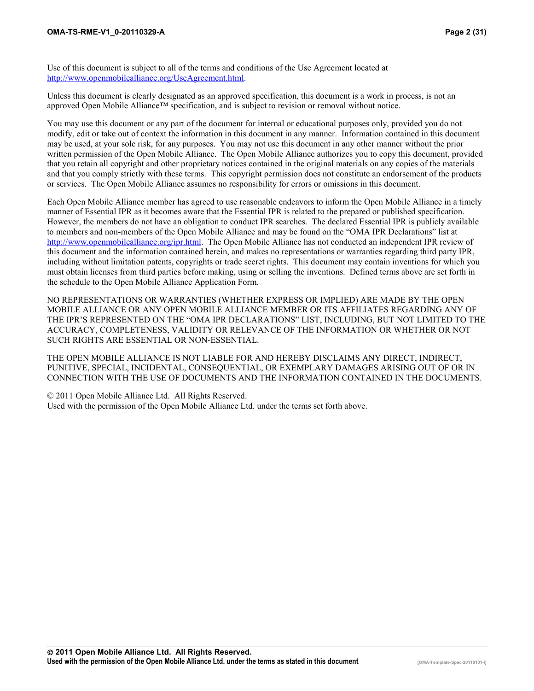Use of this document is subject to all of the terms and conditions of the Use Agreement located at http://www.openmobilealliance.org/UseAgreement.html.

Unless this document is clearly designated as an approved specification, this document is a work in process, is not an approved Open Mobile Alliance™ specification, and is subject to revision or removal without notice.

You may use this document or any part of the document for internal or educational purposes only, provided you do not modify, edit or take out of context the information in this document in any manner. Information contained in this document may be used, at your sole risk, for any purposes. You may not use this document in any other manner without the prior written permission of the Open Mobile Alliance. The Open Mobile Alliance authorizes you to copy this document, provided that you retain all copyright and other proprietary notices contained in the original materials on any copies of the materials and that you comply strictly with these terms. This copyright permission does not constitute an endorsement of the products or services. The Open Mobile Alliance assumes no responsibility for errors or omissions in this document.

Each Open Mobile Alliance member has agreed to use reasonable endeavors to inform the Open Mobile Alliance in a timely manner of Essential IPR as it becomes aware that the Essential IPR is related to the prepared or published specification. However, the members do not have an obligation to conduct IPR searches. The declared Essential IPR is publicly available to members and non-members of the Open Mobile Alliance and may be found on the "OMA IPR Declarations" list at http://www.openmobilealliance.org/ipr.html. The Open Mobile Alliance has not conducted an independent IPR review of this document and the information contained herein, and makes no representations or warranties regarding third party IPR, including without limitation patents, copyrights or trade secret rights. This document may contain inventions for which you must obtain licenses from third parties before making, using or selling the inventions. Defined terms above are set forth in the schedule to the Open Mobile Alliance Application Form.

NO REPRESENTATIONS OR WARRANTIES (WHETHER EXPRESS OR IMPLIED) ARE MADE BY THE OPEN MOBILE ALLIANCE OR ANY OPEN MOBILE ALLIANCE MEMBER OR ITS AFFILIATES REGARDING ANY OF THE IPR'S REPRESENTED ON THE "OMA IPR DECLARATIONS" LIST, INCLUDING, BUT NOT LIMITED TO THE ACCURACY, COMPLETENESS, VALIDITY OR RELEVANCE OF THE INFORMATION OR WHETHER OR NOT SUCH RIGHTS ARE ESSENTIAL OR NON-ESSENTIAL.

THE OPEN MOBILE ALLIANCE IS NOT LIABLE FOR AND HEREBY DISCLAIMS ANY DIRECT, INDIRECT, PUNITIVE, SPECIAL, INCIDENTAL, CONSEQUENTIAL, OR EXEMPLARY DAMAGES ARISING OUT OF OR IN CONNECTION WITH THE USE OF DOCUMENTS AND THE INFORMATION CONTAINED IN THE DOCUMENTS.

© 2011 Open Mobile Alliance Ltd. All Rights Reserved. Used with the permission of the Open Mobile Alliance Ltd. under the terms set forth above.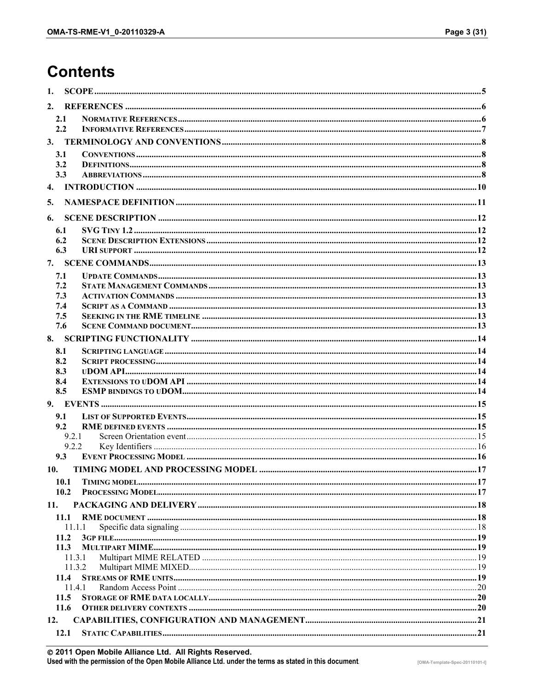# **Contents**

| 1.  |                  |  |
|-----|------------------|--|
| 2.  |                  |  |
|     | 2.1              |  |
|     | 2.2              |  |
| 3.  |                  |  |
|     | 3.1              |  |
|     | 3.2              |  |
|     | 3.3              |  |
| 4.  |                  |  |
| 5.  |                  |  |
| 6.  |                  |  |
|     | 6.1              |  |
|     | 6.2              |  |
|     | 6.3              |  |
| 7.  |                  |  |
|     | 7.1              |  |
|     | 7.2              |  |
|     | 7.3              |  |
|     | 7.4              |  |
|     | 7.5<br>7.6       |  |
| 8.  |                  |  |
|     | 8.1              |  |
|     | 8.2              |  |
|     | 8.3              |  |
|     | 8.4              |  |
|     | 8.5              |  |
| 9.  |                  |  |
|     | 9.1              |  |
|     | 9.2              |  |
|     | 9.2.1            |  |
|     | 9.2.2            |  |
|     | 9.3              |  |
| 10. |                  |  |
|     | 10.1             |  |
|     | 10.2             |  |
| 11. |                  |  |
|     | 11.1             |  |
|     | 11.1.1           |  |
|     | 11.2             |  |
|     | 11.3             |  |
|     | 11.3.1<br>11.3.2 |  |
|     | 11.4             |  |
|     | 11.4.1           |  |
|     | 11.5             |  |
|     | 11.6             |  |
| 12. |                  |  |
|     | 12.1             |  |
|     |                  |  |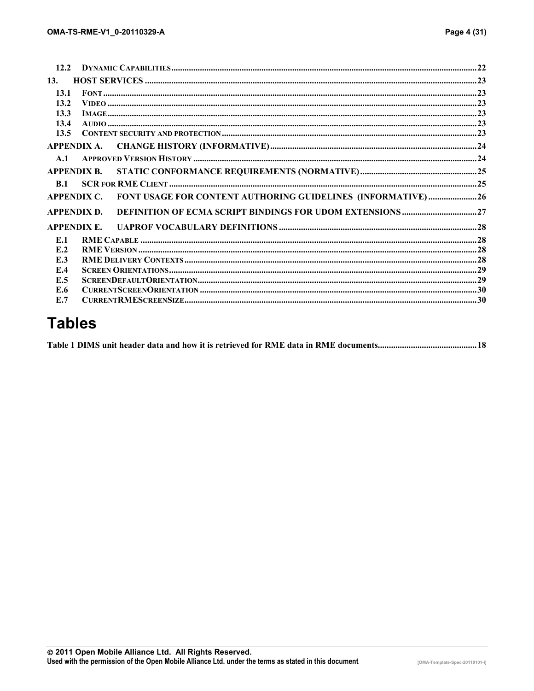| 12.2 |                    |                                                              |  |
|------|--------------------|--------------------------------------------------------------|--|
| 13.  |                    |                                                              |  |
| 13.1 |                    |                                                              |  |
| 13.2 |                    |                                                              |  |
| 13.3 |                    |                                                              |  |
| 13.4 |                    |                                                              |  |
| 13.5 |                    |                                                              |  |
|      | APPENDIX A.        |                                                              |  |
| A.1  |                    |                                                              |  |
|      | <b>APPENDIX R.</b> |                                                              |  |
| B.1  |                    |                                                              |  |
|      | <b>APPENDIX C.</b> | FONT USAGE FOR CONTENT AUTHORING GUIDELINES (INFORMATIVE) 26 |  |
|      | <b>APPENDIX D.</b> |                                                              |  |
|      | <b>APPENDIX E.</b> |                                                              |  |
| E.1  |                    |                                                              |  |
| E.2  |                    |                                                              |  |
| E.3  |                    |                                                              |  |
| E.4  |                    |                                                              |  |
| E.5  |                    |                                                              |  |
| E.6  |                    |                                                              |  |
| E.7  |                    |                                                              |  |
|      |                    |                                                              |  |

# **Tables**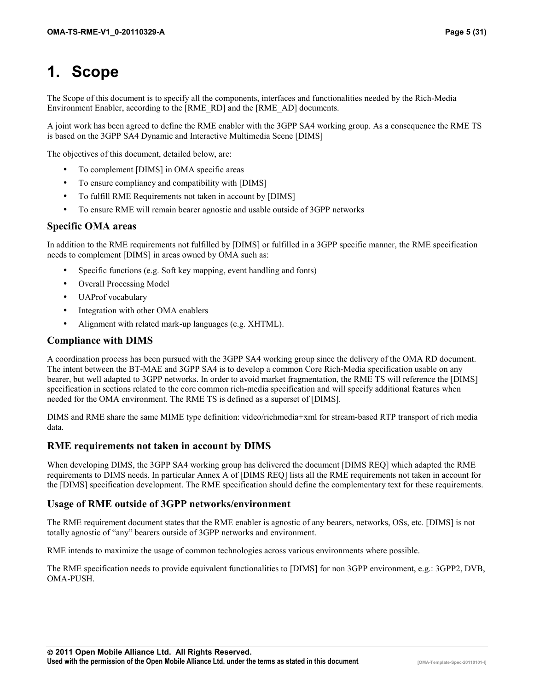# **1. Scope**

The Scope of this document is to specify all the components, interfaces and functionalities needed by the Rich-Media Environment Enabler, according to the [RME\_RD] and the [RME\_AD] documents.

A joint work has been agreed to define the RME enabler with the 3GPP SA4 working group. As a consequence the RME TS is based on the 3GPP SA4 Dynamic and Interactive Multimedia Scene [DIMS]

The objectives of this document, detailed below, are:

- To complement [DIMS] in OMA specific areas
- To ensure compliancy and compatibility with [DIMS]
- To fulfill RME Requirements not taken in account by [DIMS]
- To ensure RME will remain bearer agnostic and usable outside of 3GPP networks

#### **Specific OMA areas**

In addition to the RME requirements not fulfilled by [DIMS] or fulfilled in a 3GPP specific manner, the RME specification needs to complement [DIMS] in areas owned by OMA such as:

- Specific functions (e.g. Soft key mapping, event handling and fonts)
- Overall Processing Model
- UAProf vocabulary
- Integration with other OMA enablers
- Alignment with related mark-up languages (e.g. XHTML).

#### **Compliance with DIMS**

A coordination process has been pursued with the 3GPP SA4 working group since the delivery of the OMA RD document. The intent between the BT-MAE and 3GPP SA4 is to develop a common Core Rich-Media specification usable on any bearer, but well adapted to 3GPP networks. In order to avoid market fragmentation, the RME TS will reference the [DIMS] specification in sections related to the core common rich-media specification and will specify additional features when needed for the OMA environment. The RME TS is defined as a superset of [DIMS].

DIMS and RME share the same MIME type definition: video/richmedia+xml for stream-based RTP transport of rich media data.

#### **RME requirements not taken in account by DIMS**

When developing DIMS, the 3GPP SA4 working group has delivered the document [DIMS REQ] which adapted the RME requirements to DIMS needs. In particular Annex A of [DIMS REQ] lists all the RME requirements not taken in account for the [DIMS] specification development. The RME specification should define the complementary text for these requirements.

#### **Usage of RME outside of 3GPP networks/environment**

The RME requirement document states that the RME enabler is agnostic of any bearers, networks, OSs, etc. [DIMS] is not totally agnostic of "any" bearers outside of 3GPP networks and environment.

RME intends to maximize the usage of common technologies across various environments where possible.

The RME specification needs to provide equivalent functionalities to [DIMS] for non 3GPP environment, e.g.: 3GPP2, DVB, OMA-PUSH.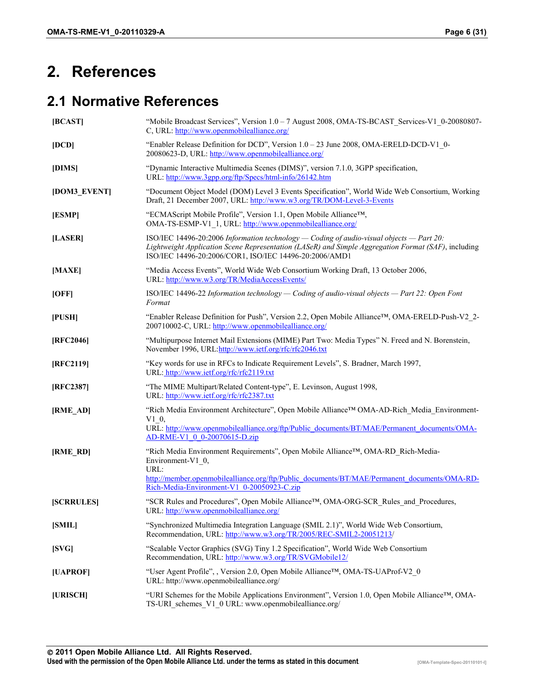# **2. References**

#### **2.1 Normative References**

| [BCAST]         | "Mobile Broadcast Services", Version 1.0 – 7 August 2008, OMA-TS-BCAST Services-V1 0-20080807-<br>C, URL: http://www.openmobilealliance.org/                                                                                                                |
|-----------------|-------------------------------------------------------------------------------------------------------------------------------------------------------------------------------------------------------------------------------------------------------------|
| [DCD]           | "Enabler Release Definition for DCD", Version 1.0 - 23 June 2008, OMA-ERELD-DCD-V1 0-<br>20080623-D, URL: http://www.openmobilealliance.org/                                                                                                                |
| [DIMS]          | "Dynamic Interactive Multimedia Scenes (DIMS)", version 7.1.0, 3GPP specification,<br>URL: http://www.3gpp.org/ftp/Specs/html-info/26142.htm                                                                                                                |
| [DOM3_EVENT]    | "Document Object Model (DOM) Level 3 Events Specification", World Wide Web Consortium, Working<br>Draft, 21 December 2007, URL: http://www.w3.org/TR/DOM-Level-3-Events                                                                                     |
| [ESMP]          | "ECMAScript Mobile Profile", Version 1.1, Open Mobile Alliance <sup>TM</sup> ,<br>OMA-TS-ESMP-V1 1, URL: http://www.openmobilealliance.org/                                                                                                                 |
| [LASER]         | ISO/IEC 14496-20:2006 Information technology — Coding of audio-visual objects — Part 20:<br>Lightweight Application Scene Representation (LASeR) and Simple Aggregation Format (SAF), including<br>ISO/IEC 14496-20:2006/COR1, ISO/IEC 14496-20:2006/AMD1   |
| [MAXE]          | "Media Access Events", World Wide Web Consortium Working Draft, 13 October 2006,<br>URL: http://www.w3.org/TR/MediaAccessEvents/                                                                                                                            |
| [OFF]           | ISO/IEC 14496-22 Information technology — Coding of audio-visual objects — Part 22: Open Font<br>Format                                                                                                                                                     |
| $[$ PUSH $]$    | "Enabler Release Definition for Push", Version 2.2, Open Mobile Alliance <sup>TM</sup> , OMA-ERELD-Push-V2 2-<br>200710002-C, URL: http://www.openmobilealliance.org/                                                                                       |
| [RFC2046]       | "Multipurpose Internet Mail Extensions (MIME) Part Two: Media Types" N. Freed and N. Borenstein,<br>November 1996, URL:http://www.ietf.org/rfc/rfc2046.txt                                                                                                  |
| [RFC2119]       | "Key words for use in RFCs to Indicate Requirement Levels", S. Bradner, March 1997,<br>URL: http://www.ietf.org/rfc/rfc2119.txt                                                                                                                             |
| [RFC2387]       | "The MIME Multipart/Related Content-type", E. Levinson, August 1998,<br>URL: http://www.ietf.org/rfc/rfc2387.txt                                                                                                                                            |
| [RME_AD]        | "Rich Media Environment Architecture", Open Mobile Alliance™ OMA-AD-Rich Media Environment-<br>$V1$ 0,<br>URL: http://www.openmobilealliance.org/ftp/Public_documents/BT/MAE/Permanent_documents/OMA-<br>AD-RME-V1 0 0-20070615-D.zip                       |
| [RME_RD]        | "Rich Media Environment Requirements", Open Mobile Alliance™, OMA-RD Rich-Media-<br>Environment-V1 0,<br>URL:<br>http://member.openmobilealliance.org/ftp/Public_documents/BT/MAE/Permanent_documents/OMA-RD-<br>Rich-Media-Environment-V1 0-20050923-C.zip |
| <b>SCRRULES</b> | "SCR Rules and Procedures", Open Mobile Alliance <sup>TM</sup> , OMA-ORG-SCR Rules and Procedures,<br>URL: http://www.openmobilealliance.org/                                                                                                               |
| [SMIL]          | "Synchronized Multimedia Integration Language (SMIL 2.1)", World Wide Web Consortium,<br>Recommendation, URL: http://www.w3.org/TR/2005/REC-SMIL2-20051213/                                                                                                 |
| [SVG]           | "Scalable Vector Graphics (SVG) Tiny 1.2 Specification", World Wide Web Consortium<br>Recommendation, URL: http://www.w3.org/TR/SVGMobile12/                                                                                                                |
| [UAPROF]        | "User Agent Profile", , Version 2.0, Open Mobile Alliance <sup>TM</sup> , OMA-TS-UAProf-V2 0<br>URL: http://www.openmobilealliance.org/                                                                                                                     |
| [URISCH]        | "URI Schemes for the Mobile Applications Environment", Version 1.0, Open Mobile Alliance <sup>TM</sup> , OMA-<br>TS-URI schemes V1 0 URL: www.openmobilealliance.org/                                                                                       |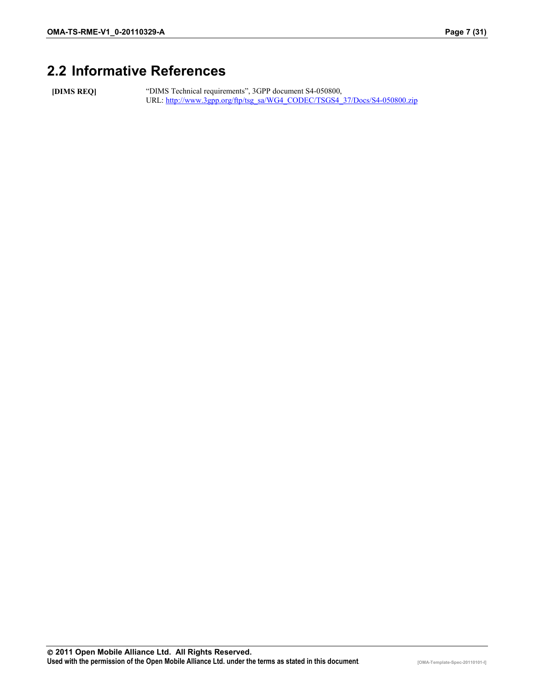# **2.2 Informative References**

**[DIMS REQ]** "DIMS Technical requirements", 3GPP document S4-050800, URL: http://www.3gpp.org/ftp/tsg\_sa/WG4\_CODEC/TSGS4\_37/Docs/S4-050800.zip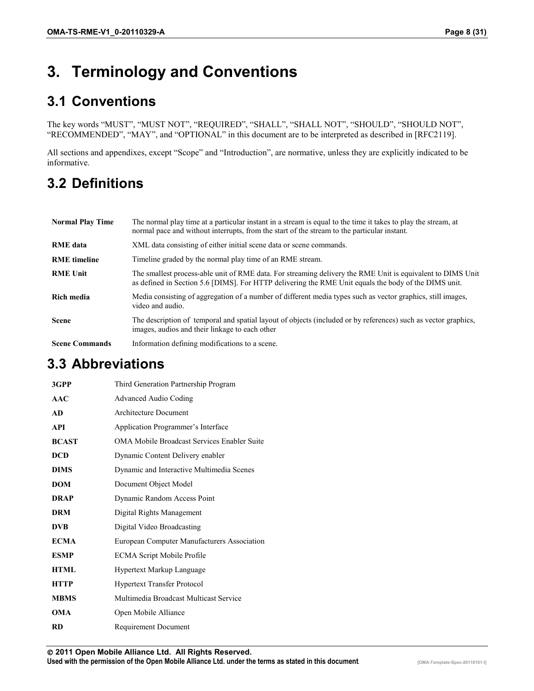# **3. Terminology and Conventions**

# **3.1 Conventions**

The key words "MUST", "MUST NOT", "REQUIRED", "SHALL", "SHALL NOT", "SHOULD", "SHOULD NOT", "RECOMMENDED", "MAY", and "OPTIONAL" in this document are to be interpreted as described in [RFC2119].

All sections and appendixes, except "Scope" and "Introduction", are normative, unless they are explicitly indicated to be informative.

# **3.2 Definitions**

| <b>Normal Play Time</b> | The normal play time at a particular instant in a stream is equal to the time it takes to play the stream, at<br>normal pace and without interrupts, from the start of the stream to the particular instant.       |
|-------------------------|--------------------------------------------------------------------------------------------------------------------------------------------------------------------------------------------------------------------|
| <b>RME</b> data         | XML data consisting of either initial scene data or scene commands.                                                                                                                                                |
| <b>RME</b> timeline     | Timeline graded by the normal play time of an RME stream.                                                                                                                                                          |
| <b>RME Unit</b>         | The smallest process-able unit of RME data. For streaming delivery the RME Unit is equivalent to DIMS Unit<br>as defined in Section 5.6 [DIMS]. For HTTP delivering the RME Unit equals the body of the DIMS unit. |
| Rich media              | Media consisting of aggregation of a number of different media types such as vector graphics, still images,<br>video and audio.                                                                                    |
| <b>Scene</b>            | The description of temporal and spatial layout of objects (included or by references) such as vector graphics,<br>images, audios and their linkage to each other                                                   |
| <b>Scene Commands</b>   | Information defining modifications to a scene.                                                                                                                                                                     |

#### **3.3 Abbreviations**

| 3GPP         | Third Generation Partnership Program        |
|--------------|---------------------------------------------|
| AAC          | Advanced Audio Coding                       |
| <b>AD</b>    | Architecture Document                       |
| <b>API</b>   | Application Programmer's Interface          |
| <b>BCAST</b> | OMA Mobile Broadcast Services Enabler Suite |
| <b>DCD</b>   | Dynamic Content Delivery enabler            |
| <b>DIMS</b>  | Dynamic and Interactive Multimedia Scenes   |
| <b>DOM</b>   | Document Object Model                       |
| <b>DRAP</b>  | Dynamic Random Access Point                 |
| <b>DRM</b>   | Digital Rights Management                   |
| <b>DVB</b>   | Digital Video Broadcasting                  |
| <b>ECMA</b>  | European Computer Manufacturers Association |
| <b>ESMP</b>  | <b>ECMA Script Mobile Profile</b>           |
| <b>HTML</b>  | <b>Hypertext Markup Language</b>            |
| <b>HTTP</b>  | <b>Hypertext Transfer Protocol</b>          |
| <b>MBMS</b>  | Multimedia Broadcast Multicast Service      |
| <b>OMA</b>   | Open Mobile Alliance                        |
| RD           | Requirement Document                        |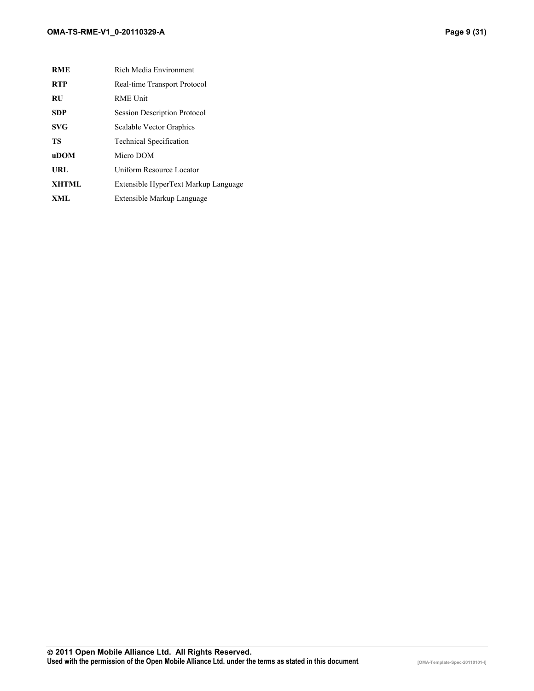| <b>RME</b>   | Rich Media Environment               |
|--------------|--------------------------------------|
| <b>RTP</b>   | Real-time Transport Protocol         |
| <b>RU</b>    | <b>RME Unit</b>                      |
| <b>SDP</b>   | <b>Session Description Protocol</b>  |
| <b>SVG</b>   | Scalable Vector Graphics             |
| TS           | <b>Technical Specification</b>       |
| <b>uDOM</b>  | Micro DOM                            |
| URL          | Uniform Resource Locator             |
| <b>XHTML</b> | Extensible HyperText Markup Language |
| XML          | Extensible Markup Language           |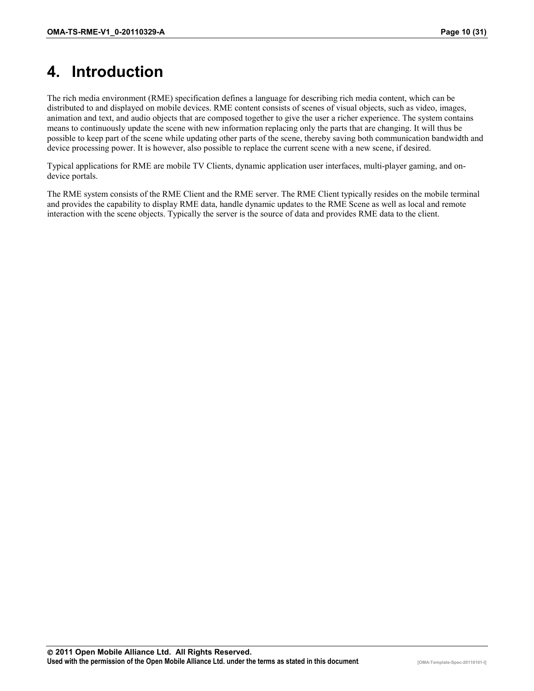# **4. Introduction**

The rich media environment (RME) specification defines a language for describing rich media content, which can be distributed to and displayed on mobile devices. RME content consists of scenes of visual objects, such as video, images, animation and text, and audio objects that are composed together to give the user a richer experience. The system contains means to continuously update the scene with new information replacing only the parts that are changing. It will thus be possible to keep part of the scene while updating other parts of the scene, thereby saving both communication bandwidth and device processing power. It is however, also possible to replace the current scene with a new scene, if desired.

Typical applications for RME are mobile TV Clients, dynamic application user interfaces, multi-player gaming, and ondevice portals.

The RME system consists of the RME Client and the RME server. The RME Client typically resides on the mobile terminal and provides the capability to display RME data, handle dynamic updates to the RME Scene as well as local and remote interaction with the scene objects. Typically the server is the source of data and provides RME data to the client.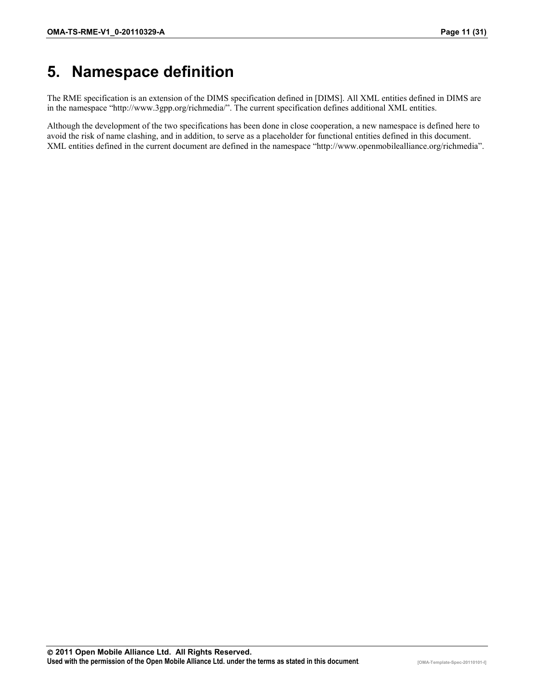# **5. Namespace definition**

The RME specification is an extension of the DIMS specification defined in [DIMS]. All XML entities defined in DIMS are in the namespace "http://www.3gpp.org/richmedia/". The current specification defines additional XML entities.

Although the development of the two specifications has been done in close cooperation, a new namespace is defined here to avoid the risk of name clashing, and in addition, to serve as a placeholder for functional entities defined in this document. XML entities defined in the current document are defined in the namespace "http://www.openmobilealliance.org/richmedia".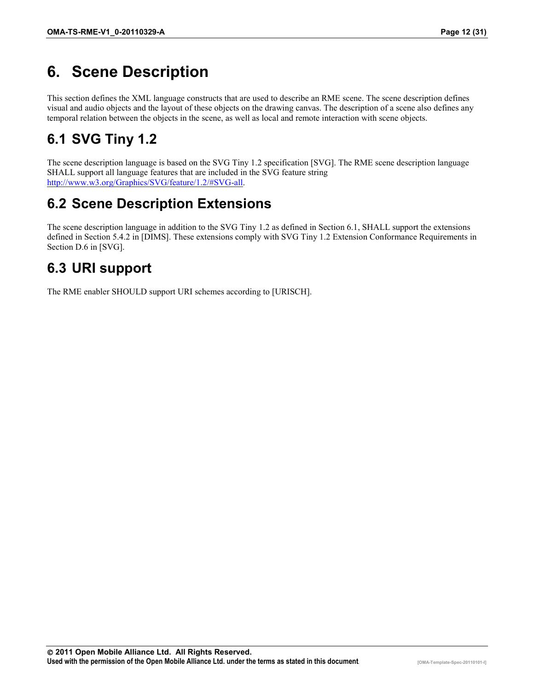# **6. Scene Description**

This section defines the XML language constructs that are used to describe an RME scene. The scene description defines visual and audio objects and the layout of these objects on the drawing canvas. The description of a scene also defines any temporal relation between the objects in the scene, as well as local and remote interaction with scene objects.

# **6.1 SVG Tiny 1.2**

The scene description language is based on the SVG Tiny 1.2 specification [SVG]. The RME scene description language SHALL support all language features that are included in the SVG feature string http://www.w3.org/Graphics/SVG/feature/1.2/#SVG-all.

# **6.2 Scene Description Extensions**

The scene description language in addition to the SVG Tiny 1.2 as defined in Section 6.1, SHALL support the extensions defined in Section 5.4.2 in [DIMS]. These extensions comply with SVG Tiny 1.2 Extension Conformance Requirements in Section D.6 in [SVG].

# **6.3 URI support**

The RME enabler SHOULD support URI schemes according to [URISCH].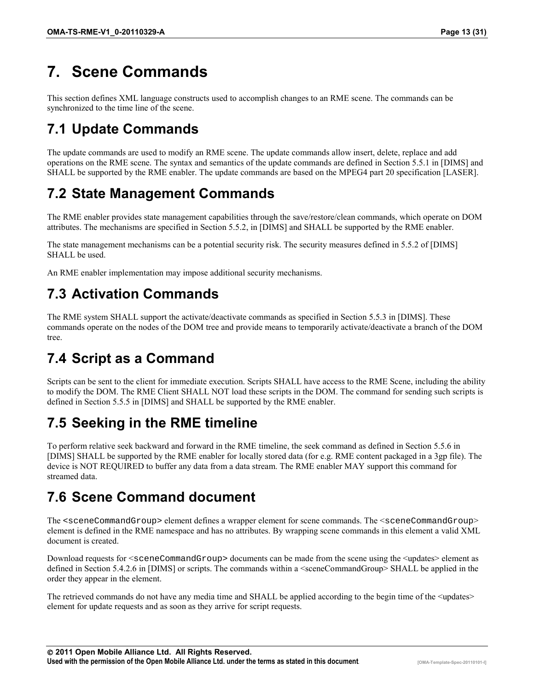# **7. Scene Commands**

This section defines XML language constructs used to accomplish changes to an RME scene. The commands can be synchronized to the time line of the scene.

# **7.1 Update Commands**

The update commands are used to modify an RME scene. The update commands allow insert, delete, replace and add operations on the RME scene. The syntax and semantics of the update commands are defined in Section 5.5.1 in [DIMS] and SHALL be supported by the RME enabler. The update commands are based on the MPEG4 part 20 specification [LASER].

# **7.2 State Management Commands**

The RME enabler provides state management capabilities through the save/restore/clean commands, which operate on DOM attributes. The mechanisms are specified in Section 5.5.2, in [DIMS] and SHALL be supported by the RME enabler.

The state management mechanisms can be a potential security risk. The security measures defined in 5.5.2 of [DIMS] SHALL be used.

An RME enabler implementation may impose additional security mechanisms.

# **7.3 Activation Commands**

The RME system SHALL support the activate/deactivate commands as specified in Section 5.5.3 in [DIMS]. These commands operate on the nodes of the DOM tree and provide means to temporarily activate/deactivate a branch of the DOM tree.

# **7.4 Script as a Command**

Scripts can be sent to the client for immediate execution. Scripts SHALL have access to the RME Scene, including the ability to modify the DOM. The RME Client SHALL NOT load these scripts in the DOM. The command for sending such scripts is defined in Section 5.5.5 in [DIMS] and SHALL be supported by the RME enabler.

# **7.5 Seeking in the RME timeline**

To perform relative seek backward and forward in the RME timeline, the seek command as defined in Section 5.5.6 in [DIMS] SHALL be supported by the RME enabler for locally stored data (for e.g. RME content packaged in a 3gp file). The device is NOT REQUIRED to buffer any data from a data stream. The RME enabler MAY support this command for streamed data.

#### **7.6 Scene Command document**

The <sceneCommandGroup> element defines a wrapper element for scene commands. The <sceneCommandGroup> element is defined in the RME namespace and has no attributes. By wrapping scene commands in this element a valid XML document is created.

Download requests for  $\leq$ sceneCommandGroup> documents can be made from the scene using the  $\leq$ updates> element as defined in Section 5.4.2.6 in [DIMS] or scripts. The commands within a <sceneCommandGroup> SHALL be applied in the order they appear in the element.

The retrieved commands do not have any media time and SHALL be applied according to the begin time of the  $\leq$ updates $\geq$ element for update requests and as soon as they arrive for script requests.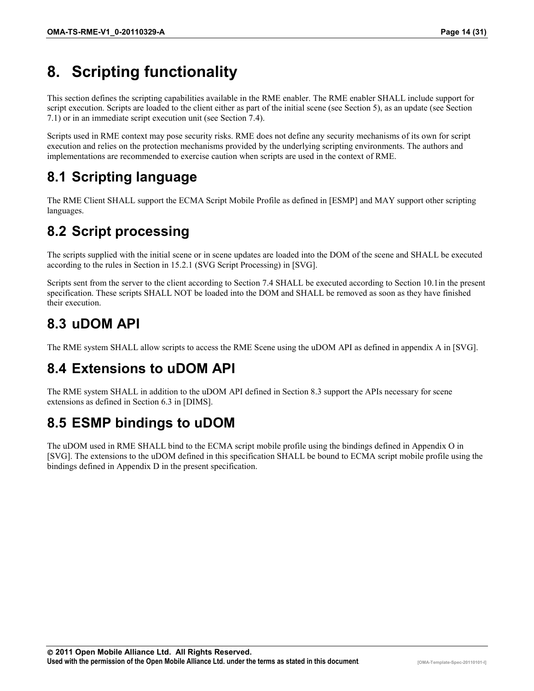# **8. Scripting functionality**

This section defines the scripting capabilities available in the RME enabler. The RME enabler SHALL include support for script execution. Scripts are loaded to the client either as part of the initial scene (see Section 5), as an update (see Section 7.1) or in an immediate script execution unit (see Section 7.4).

Scripts used in RME context may pose security risks. RME does not define any security mechanisms of its own for script execution and relies on the protection mechanisms provided by the underlying scripting environments. The authors and implementations are recommended to exercise caution when scripts are used in the context of RME.

# **8.1 Scripting language**

The RME Client SHALL support the ECMA Script Mobile Profile as defined in [ESMP] and MAY support other scripting languages.

# **8.2 Script processing**

The scripts supplied with the initial scene or in scene updates are loaded into the DOM of the scene and SHALL be executed according to the rules in Section in 15.2.1 (SVG Script Processing) in [SVG].

Scripts sent from the server to the client according to Section 7.4 SHALL be executed according to Section 10.1in the present specification. These scripts SHALL NOT be loaded into the DOM and SHALL be removed as soon as they have finished their execution.

# **8.3 uDOM API**

The RME system SHALL allow scripts to access the RME Scene using the uDOM API as defined in appendix A in [SVG].

# **8.4 Extensions to uDOM API**

The RME system SHALL in addition to the uDOM API defined in Section 8.3 support the APIs necessary for scene extensions as defined in Section 6.3 in [DIMS].

# **8.5 ESMP bindings to uDOM**

The uDOM used in RME SHALL bind to the ECMA script mobile profile using the bindings defined in Appendix O in [SVG]. The extensions to the uDOM defined in this specification SHALL be bound to ECMA script mobile profile using the bindings defined in Appendix D in the present specification.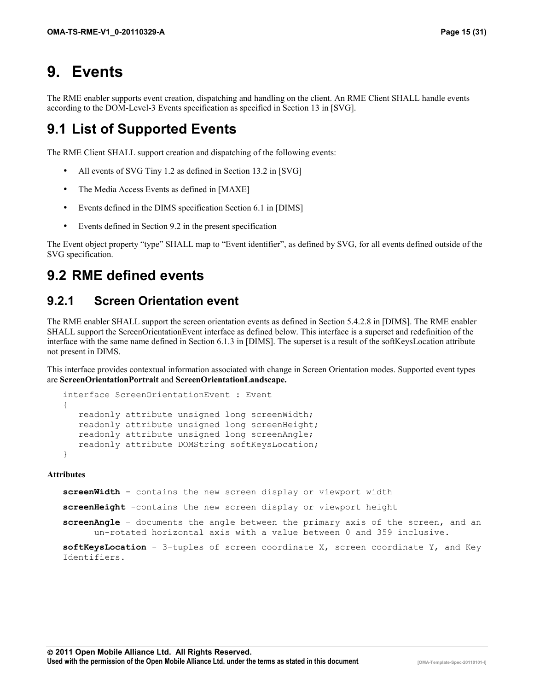# **9. Events**

The RME enabler supports event creation, dispatching and handling on the client. An RME Client SHALL handle events according to the DOM-Level-3 Events specification as specified in Section 13 in [SVG].

#### **9.1 List of Supported Events**

The RME Client SHALL support creation and dispatching of the following events:

- All events of SVG Tiny 1.2 as defined in Section 13.2 in [SVG]
- The Media Access Events as defined in [MAXE]
- Events defined in the DIMS specification Section 6.1 in [DIMS]
- Events defined in Section 9.2 in the present specification

The Event object property "type" SHALL map to "Event identifier", as defined by SVG, for all events defined outside of the SVG specification.

#### **9.2 RME defined events**

#### **9.2.1 Screen Orientation event**

The RME enabler SHALL support the screen orientation events as defined in Section 5.4.2.8 in [DIMS]. The RME enabler SHALL support the ScreenOrientationEvent interface as defined below. This interface is a superset and redefinition of the interface with the same name defined in Section 6.1.3 in [DIMS]. The superset is a result of the softKeysLocation attribute not present in DIMS.

This interface provides contextual information associated with change in Screen Orientation modes. Supported event types are **ScreenOrientationPortrait** and **ScreenOrientationLandscape.**

```
interface ScreenOrientationEvent : Event 
{
   readonly attribute unsigned long screenWidth; 
    readonly attribute unsigned long screenHeight; 
    readonly attribute unsigned long screenAngle; 
    readonly attribute DOMString softKeysLocation;
}
```
#### **Attributes**

**screenWidth** - contains the new screen display or viewport width **screenHeight** -contains the new screen display or viewport height **screenAngle** – documents the angle between the primary axis of the screen, and an un-rotated horizontal axis with a value between 0 and 359 inclusive. **softKeysLocation** - 3-tuples of screen coordinate X, screen coordinate Y, and Key

Identifiers.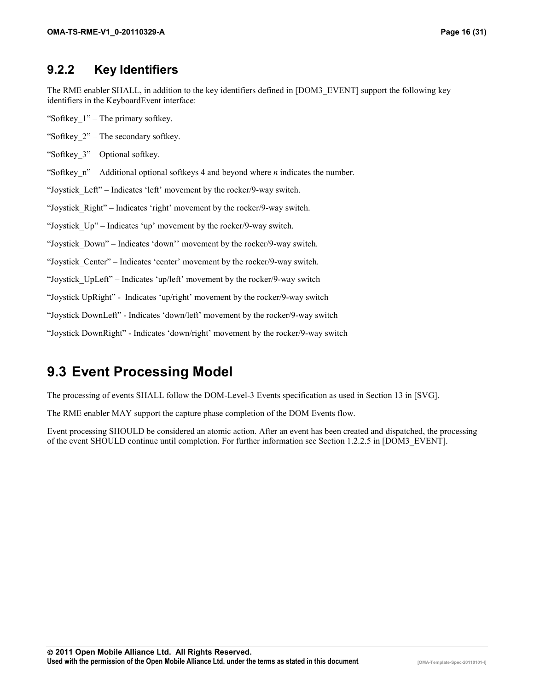#### **9.2.2 Key Identifiers**

The RME enabler SHALL, in addition to the key identifiers defined in [DOM3\_EVENT] support the following key identifiers in the KeyboardEvent interface:

- "Softkey\_1" The primary softkey.
- "Softkey\_2" The secondary softkey.
- "Softkey\_3" Optional softkey.
- "Softkey\_n" Additional optional softkeys 4 and beyond where *n* indicates the number.
- "Joystick\_Left" Indicates 'left' movement by the rocker/9-way switch.
- "Joystick\_Right" Indicates 'right' movement by the rocker/9-way switch.
- "Joystick\_Up" Indicates 'up' movement by the rocker/9-way switch.
- "Joystick\_Down" Indicates 'down'' movement by the rocker/9-way switch.
- "Joystick\_Center" Indicates 'center' movement by the rocker/9-way switch.
- "Joystick\_UpLeft" Indicates 'up/left' movement by the rocker/9-way switch
- "Joystick UpRight" Indicates 'up/right' movement by the rocker/9-way switch
- "Joystick DownLeft" Indicates 'down/left' movement by the rocker/9-way switch
- "Joystick DownRight" Indicates 'down/right' movement by the rocker/9-way switch

#### **9.3 Event Processing Model**

The processing of events SHALL follow the DOM-Level-3 Events specification as used in Section 13 in [SVG].

The RME enabler MAY support the capture phase completion of the DOM Events flow.

Event processing SHOULD be considered an atomic action. After an event has been created and dispatched, the processing of the event SHOULD continue until completion. For further information see Section 1.2.2.5 in [DOM3\_EVENT].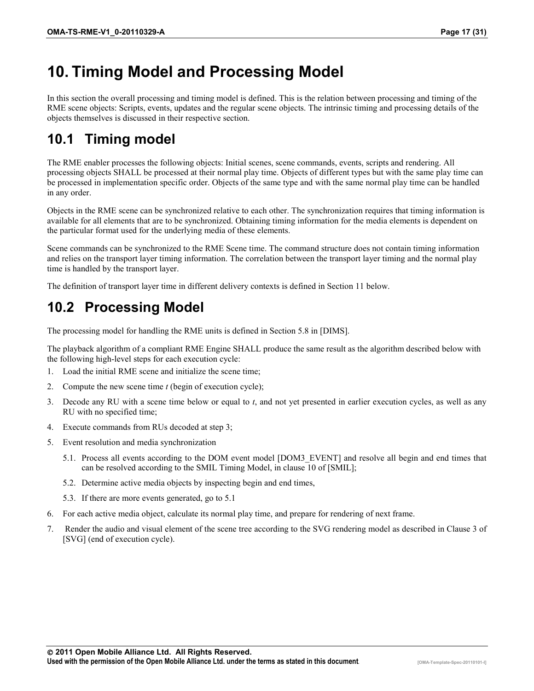# **10. Timing Model and Processing Model**

In this section the overall processing and timing model is defined. This is the relation between processing and timing of the RME scene objects: Scripts, events, updates and the regular scene objects. The intrinsic timing and processing details of the objects themselves is discussed in their respective section.

# **10.1 Timing model**

The RME enabler processes the following objects: Initial scenes, scene commands, events, scripts and rendering. All processing objects SHALL be processed at their normal play time. Objects of different types but with the same play time can be processed in implementation specific order. Objects of the same type and with the same normal play time can be handled in any order.

Objects in the RME scene can be synchronized relative to each other. The synchronization requires that timing information is available for all elements that are to be synchronized. Obtaining timing information for the media elements is dependent on the particular format used for the underlying media of these elements.

Scene commands can be synchronized to the RME Scene time. The command structure does not contain timing information and relies on the transport layer timing information. The correlation between the transport layer timing and the normal play time is handled by the transport layer.

The definition of transport layer time in different delivery contexts is defined in Section 11 below.

# **10.2 Processing Model**

The processing model for handling the RME units is defined in Section 5.8 in [DIMS].

The playback algorithm of a compliant RME Engine SHALL produce the same result as the algorithm described below with the following high-level steps for each execution cycle:

- 1. Load the initial RME scene and initialize the scene time;
- 2. Compute the new scene time *t* (begin of execution cycle);
- 3. Decode any RU with a scene time below or equal to *t*, and not yet presented in earlier execution cycles, as well as any RU with no specified time;
- 4. Execute commands from RUs decoded at step 3;
- 5. Event resolution and media synchronization
	- 5.1. Process all events according to the DOM event model [DOM3\_EVENT] and resolve all begin and end times that can be resolved according to the SMIL Timing Model, in clause 10 of [SMIL];
	- 5.2. Determine active media objects by inspecting begin and end times,
	- 5.3. If there are more events generated, go to 5.1
- 6. For each active media object, calculate its normal play time, and prepare for rendering of next frame.
- 7. Render the audio and visual element of the scene tree according to the SVG rendering model as described in Clause 3 of [SVG] (end of execution cycle).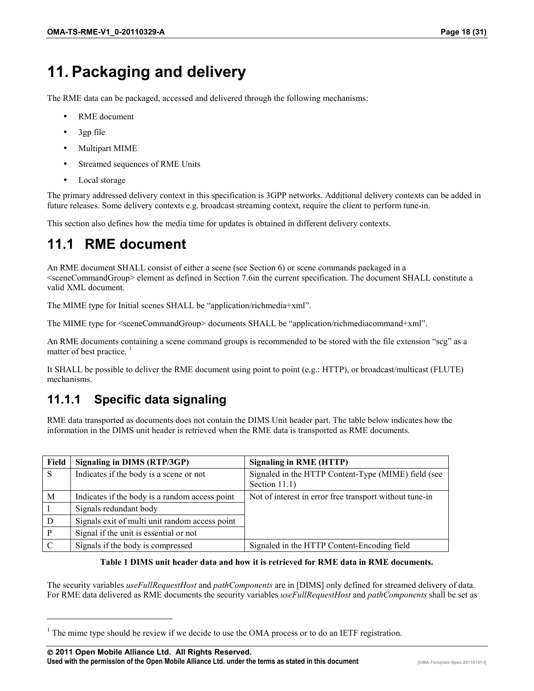# **11. Packaging and delivery**

The RME data can be packaged, accessed and delivered through the following mechanisms:

- RME document
- 3gp file
- Multipart MIME
- Streamed sequences of RME Units
- Local storage

The primary addressed delivery context in this specification is 3GPP networks. Additional delivery contexts can be added in future releases. Some delivery contexts e.g. broadcast streaming context, require the client to perform tune-in.

This section also defines how the media time for updates is obtained in different delivery contexts.

#### **11.1 RME document**

An RME document SHALL consist of either a scene (see Section 6) or scene commands packaged in a <sceneCommandGroup> element as defined in Section 7.6in the current specification. The document SHALL constitute a valid XML document.

The MIME type for Initial scenes SHALL be "application/richmedia+xml".

The MIME type for <sceneCommandGroup> documents SHALL be "application/richmediacommand+xml".

An RME documents containing a scene command groups is recommended to be stored with the file extension "scg" as a matter of best practice.<sup>1</sup>

It SHALL be possible to deliver the RME document using point to point (e.g.: HTTP), or broadcast/multicast (FLUTE) mechanisms.

#### **11.1.1 Specific data signaling**

RME data transported as documents does not contain the DIMS Unit header part. The table below indicates how the information in the DIMS unit header is retrieved when the RME data is transported as RME documents.

| Field | Signaling in DIMS (RTP/3GP)                    | <b>Signaling in RME (HTTP)</b>                                       |
|-------|------------------------------------------------|----------------------------------------------------------------------|
| S     | Indicates if the body is a scene or not        | Signaled in the HTTP Content-Type (MIME) field (see<br>Section 11.1) |
| M     | Indicates if the body is a random access point | Not of interest in error free transport without tune-in              |
|       | Signals redundant body                         |                                                                      |
| D     | Signals exit of multi unit random access point |                                                                      |
|       | Signal if the unit is essential or not         |                                                                      |
|       | Signals if the body is compressed              | Signaled in the HTTP Content-Encoding field                          |

#### **Table 1 DIMS unit header data and how it is retrieved for RME data in RME documents.**

The security variables *useFullRequestHost* and *pathComponents* are in [DIMS] only defined for streamed delivery of data. For RME data delivered as RME documents the security variables *useFullRequestHost* and *pathComponents* shall be set as

 $1$  The mime type should be review if we decide to use the OMA process or to do an IETF registration.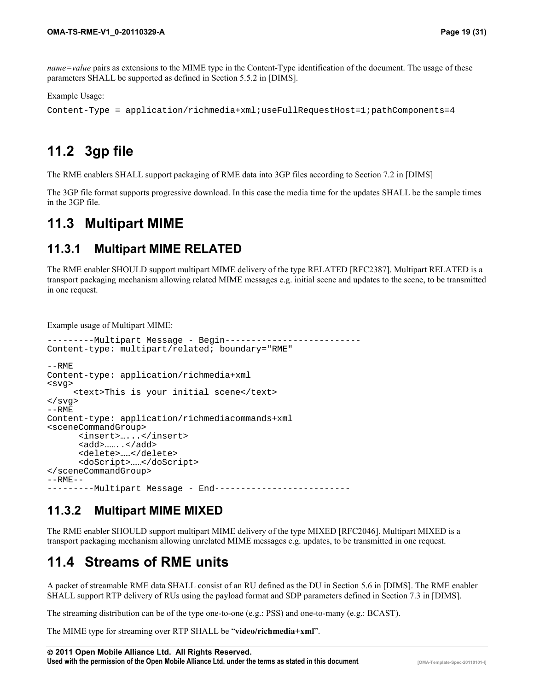*name=value* pairs as extensions to the MIME type in the Content-Type identification of the document. The usage of these parameters SHALL be supported as defined in Section 5.5.2 in [DIMS].

Example Usage:

```
Content-Type = application/richmedia+xml;useFullRequestHost=1;pathComponents=4
```
#### **11.2 3gp file**

The RME enablers SHALL support packaging of RME data into 3GP files according to Section 7.2 in [DIMS]

The 3GP file format supports progressive download. In this case the media time for the updates SHALL be the sample times in the 3GP file.

#### **11.3 Multipart MIME**

#### **11.3.1 Multipart MIME RELATED**

The RME enabler SHOULD support multipart MIME delivery of the type RELATED [RFC2387]. Multipart RELATED is a transport packaging mechanism allowing related MIME messages e.g. initial scene and updates to the scene, to be transmitted in one request.

Example usage of Multipart MIME:

```
---------Multipart Message - Begin--------------------------
Content-type: multipart/related; boundary="RME"
--RMFContent-type: application/richmedia+xml
<svg>
     <text>This is your initial scene</text>
</svg>
--RMEContent-type: application/richmediacommands+xml
<sceneCommandGroup>
      <insert>…...</insert>
      <add>……..</add>
      <delete>……</delete>
      <doScript>……</doScript>
</sceneCommandGroup>
--RMF-------------Multipart Message - End--------------
```
#### **11.3.2 Multipart MIME MIXED**

The RME enabler SHOULD support multipart MIME delivery of the type MIXED [RFC2046]. Multipart MIXED is a transport packaging mechanism allowing unrelated MIME messages e.g. updates, to be transmitted in one request.

#### **11.4 Streams of RME units**

A packet of streamable RME data SHALL consist of an RU defined as the DU in Section 5.6 in [DIMS]. The RME enabler SHALL support RTP delivery of RUs using the payload format and SDP parameters defined in Section 7.3 in [DIMS].

The streaming distribution can be of the type one-to-one (e.g.: PSS) and one-to-many (e.g.: BCAST).

The MIME type for streaming over RTP SHALL be "**video/richmedia+xml**".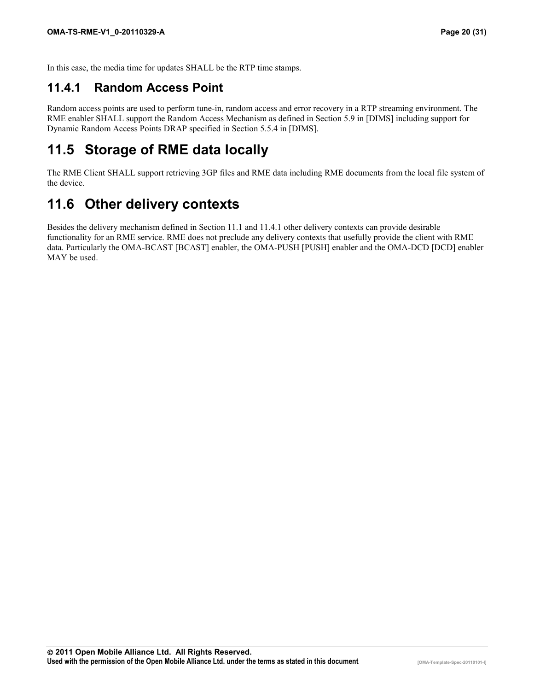In this case, the media time for updates SHALL be the RTP time stamps.

#### **11.4.1 Random Access Point**

Random access points are used to perform tune-in, random access and error recovery in a RTP streaming environment. The RME enabler SHALL support the Random Access Mechanism as defined in Section 5.9 in [DIMS] including support for Dynamic Random Access Points DRAP specified in Section 5.5.4 in [DIMS].

#### **11.5 Storage of RME data locally**

The RME Client SHALL support retrieving 3GP files and RME data including RME documents from the local file system of the device.

#### **11.6 Other delivery contexts**

Besides the delivery mechanism defined in Section 11.1 and 11.4.1 other delivery contexts can provide desirable functionality for an RME service. RME does not preclude any delivery contexts that usefully provide the client with RME data. Particularly the OMA-BCAST [BCAST] enabler, the OMA-PUSH [PUSH] enabler and the OMA-DCD [DCD] enabler MAY be used.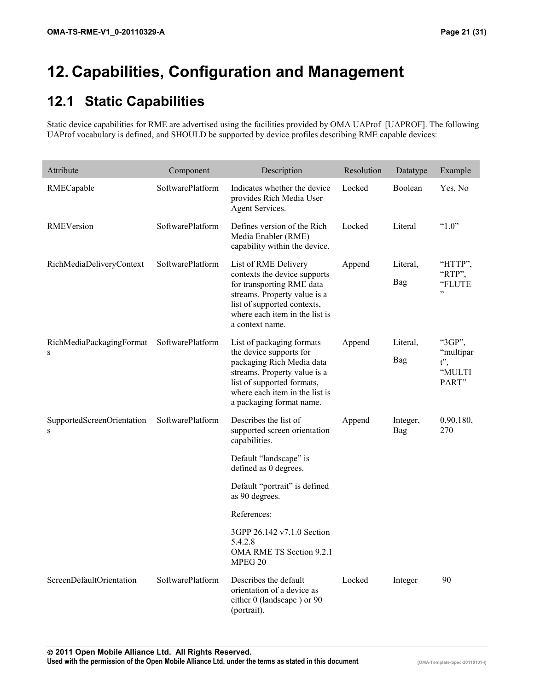# **12. Capabilities, Configuration and Management**

# **12.1 Static Capabilities**

Static device capabilities for RME are advertised using the facilities provided by OMA UAProf [UAPROF]. The following UAProf vocabulary is defined, and SHOULD be supported by device profiles describing RME capable devices:

| Attribute                                      | Component        | Description                                                                                                                                                                                                   | Resolution | Datatype        | Example                                          |
|------------------------------------------------|------------------|---------------------------------------------------------------------------------------------------------------------------------------------------------------------------------------------------------------|------------|-----------------|--------------------------------------------------|
| RMECapable                                     | SoftwarePlatform | Indicates whether the device<br>provides Rich Media User<br>Agent Services.                                                                                                                                   | Locked     | Boolean         | Yes, No                                          |
| RMEVersion                                     | SoftwarePlatform | Defines version of the Rich<br>Media Enabler (RME)<br>capability within the device.                                                                                                                           | Locked     | Literal         | " $1.0$ "                                        |
| RichMediaDeliveryContext                       | SoftwarePlatform | List of RME Delivery<br>contexts the device supports<br>for transporting RME data<br>streams. Property value is a<br>list of supported contexts,<br>where each item in the list is<br>a context name.         | Append     | Literal,<br>Bag | "HTTP",<br>"RTP".<br>"FLUTE<br>, ,               |
| RichMediaPackagingFormat SoftwarePlatform<br>S |                  | List of packaging formats<br>the device supports for<br>packaging Rich Media data<br>streams. Property value is a<br>list of supported formats,<br>where each item in the list is<br>a packaging format name. | Append     | Literal.<br>Bag | "3GP",<br>"multipar<br>$t$ ",<br>"MULTI<br>PART" |
| SupportedScreenOrientation<br>S                | SoftwarePlatform | Describes the list of<br>supported screen orientation<br>capabilities.                                                                                                                                        | Append     | Integer,<br>Bag | 0,90,180,<br>270                                 |
|                                                |                  | Default "landscape" is<br>defined as 0 degrees.                                                                                                                                                               |            |                 |                                                  |
|                                                |                  | Default "portrait" is defined<br>as 90 degrees.                                                                                                                                                               |            |                 |                                                  |
|                                                |                  | References:                                                                                                                                                                                                   |            |                 |                                                  |
|                                                |                  | 3GPP 26.142 v7.1.0 Section<br>5.4.2.8<br>OMA RME TS Section 9.2.1<br>MPEG 20                                                                                                                                  |            |                 |                                                  |
| ScreenDefaultOrientation                       | SoftwarePlatform | Describes the default<br>orientation of a device as<br>either 0 (landscape) or 90<br>(portrait).                                                                                                              | Locked     | Integer         | 90                                               |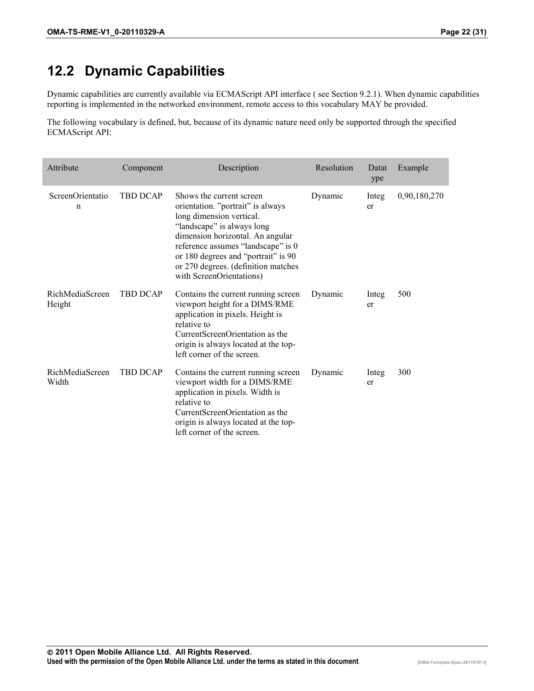#### **12.2 Dynamic Capabilities**

Dynamic capabilities are currently available via ECMAScript API interface ( see Section 9.2.1). When dynamic capabilities reporting is implemented in the networked environment, remote access to this vocabulary MAY be provided.

The following vocabulary is defined, but, because of its dynamic nature need only be supported through the specified ECMAScript API:

| Attribute                 | Component       | Description                                                                                                                                                                                                                                                                                                 | Resolution | Datat<br>ype | Example      |
|---------------------------|-----------------|-------------------------------------------------------------------------------------------------------------------------------------------------------------------------------------------------------------------------------------------------------------------------------------------------------------|------------|--------------|--------------|
| ScreenOrientatio<br>n     | <b>TBD DCAP</b> | Shows the current screen<br>orientation. "portrait" is always<br>long dimension vertical.<br>"landscape" is always long<br>dimension horizontal. An angular<br>reference assumes "landscape" is 0<br>or 180 degrees and "portrait" is 90<br>or 270 degrees. (definition matches<br>with ScreenOrientations) | Dynamic    | Integ<br>er  | 0,90,180,270 |
| RichMediaScreen<br>Height | <b>TBD DCAP</b> | Contains the current running screen<br>viewport height for a DIMS/RME<br>application in pixels. Height is<br>relative to<br>CurrentScreenOrientation as the<br>origin is always located at the top-<br>left corner of the screen.                                                                           | Dynamic    | Integ<br>er  | 500          |
| RichMediaScreen<br>Width  | <b>TBD DCAP</b> | Contains the current running screen<br>viewport width for a DIMS/RME<br>application in pixels. Width is<br>relative to<br>CurrentScreenOrientation as the<br>origin is always located at the top-<br>left corner of the screen.                                                                             | Dynamic    | Integ<br>er  | 300          |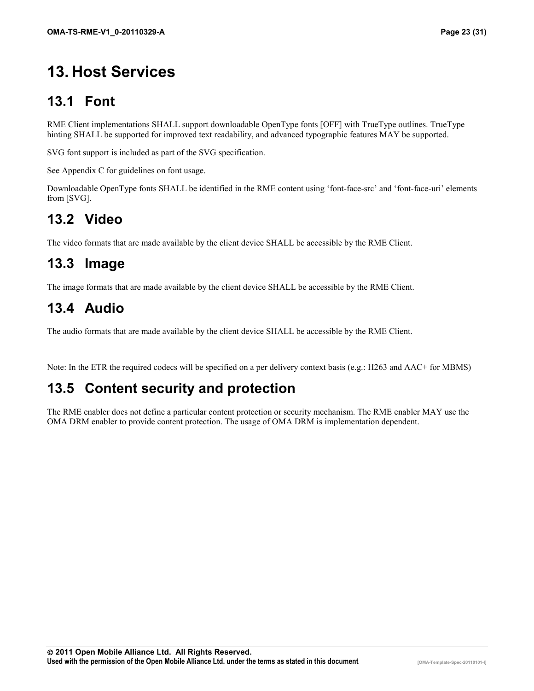# **13. Host Services**

# **13.1 Font**

RME Client implementations SHALL support downloadable OpenType fonts [OFF] with TrueType outlines. TrueType hinting SHALL be supported for improved text readability, and advanced typographic features MAY be supported.

SVG font support is included as part of the SVG specification.

See Appendix C for guidelines on font usage.

Downloadable OpenType fonts SHALL be identified in the RME content using 'font-face-src' and 'font-face-uri' elements from [SVG].

# **13.2 Video**

The video formats that are made available by the client device SHALL be accessible by the RME Client.

#### **13.3 Image**

The image formats that are made available by the client device SHALL be accessible by the RME Client.

# **13.4 Audio**

The audio formats that are made available by the client device SHALL be accessible by the RME Client.

Note: In the ETR the required codecs will be specified on a per delivery context basis (e.g.: H263 and AAC+ for MBMS)

#### **13.5 Content security and protection**

The RME enabler does not define a particular content protection or security mechanism. The RME enabler MAY use the OMA DRM enabler to provide content protection. The usage of OMA DRM is implementation dependent.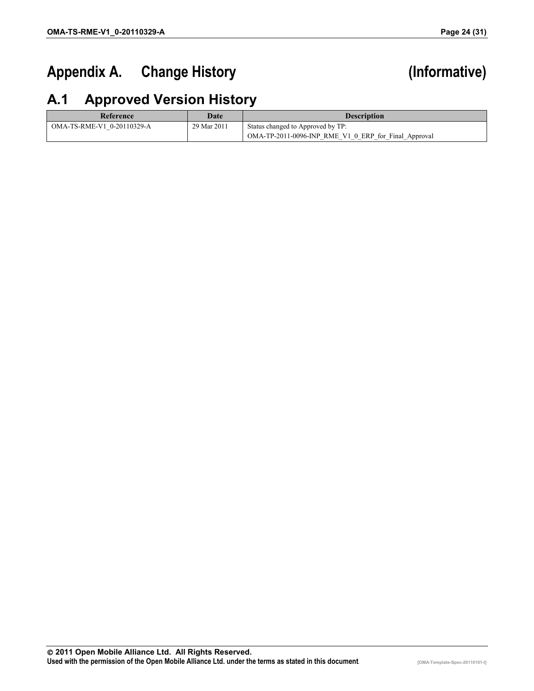# Appendix A. Change History **Marshall** (Informative)

# **A.1 Approved Version History**

| Reference                  | Date        | <b>Description</b>                                   |
|----------------------------|-------------|------------------------------------------------------|
| OMA-TS-RME-V1 0-20110329-A | 29 Mar 2011 | Status changed to Approved by TP:                    |
|                            |             | OMA-TP-2011-0096-INP RME V1 0 ERP for Final Approval |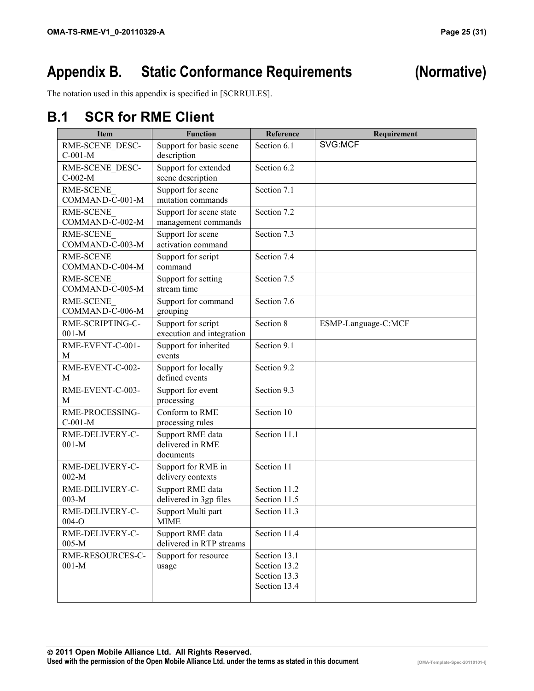# **Appendix B. Static Conformance Requirements (Normative)**

The notation used in this appendix is specified in [SCRRULES].

#### **B.1 SCR for RME Client**

| <b>Item</b>                  | <b>Function</b>                                   | Reference                                                    | Requirement         |
|------------------------------|---------------------------------------------------|--------------------------------------------------------------|---------------------|
| RME-SCENE DESC-<br>$C-001-M$ | Support for basic scene<br>description            | Section 6.1                                                  | SVG:MCF             |
| RME-SCENE DESC-<br>$C-002-M$ | Support for extended<br>scene description         | Section 6.2                                                  |                     |
| RME-SCENE<br>COMMAND-C-001-M | Support for scene<br>mutation commands            | Section 7.1                                                  |                     |
| RME-SCENE<br>COMMAND-C-002-M | Support for scene state<br>management commands    | Section 7.2                                                  |                     |
| RME-SCENE<br>COMMAND-C-003-M | Support for scene<br>activation command           | Section 7.3                                                  |                     |
| RME-SCENE<br>COMMAND-C-004-M | Support for script<br>command                     | Section 7.4                                                  |                     |
| RME-SCENE<br>COMMAND-C-005-M | Support for setting<br>stream time                | Section 7.5                                                  |                     |
| RME-SCENE<br>COMMAND-C-006-M | Support for command<br>grouping                   | Section 7.6                                                  |                     |
| RME-SCRIPTING-C-<br>$001-M$  | Support for script<br>execution and integration   | Section 8                                                    | ESMP-Language-C:MCF |
| RME-EVENT-C-001-<br>M        | Support for inherited<br>events                   | Section 9.1                                                  |                     |
| RME-EVENT-C-002-<br>M        | Support for locally<br>defined events             | Section 9.2                                                  |                     |
| RME-EVENT-C-003-<br>M        | Support for event<br>processing                   | Section 9.3                                                  |                     |
| RME-PROCESSING-<br>$C-001-M$ | Conform to RME<br>processing rules                | Section 10                                                   |                     |
| RME-DELIVERY-C-<br>$001-M$   | Support RME data<br>delivered in RME<br>documents | Section 11.1                                                 |                     |
| RME-DELIVERY-C-<br>$002-M$   | Support for RME in<br>delivery contexts           | Section 11                                                   |                     |
| RME-DELIVERY-C-<br>$003-M$   | Support RME data<br>delivered in 3gp files        | Section 11.2<br>Section 11.5                                 |                     |
| RME-DELIVERY-C-<br>$004-O$   | Support Multi part<br><b>MIME</b>                 | Section 11.3                                                 |                     |
| RME-DELIVERY-C-<br>$005-M$   | Support RME data<br>delivered in RTP streams      | Section 11.4                                                 |                     |
| RME-RESOURCES-C-<br>$001-M$  | Support for resource<br>usage                     | Section 13.1<br>Section 13.2<br>Section 13.3<br>Section 13.4 |                     |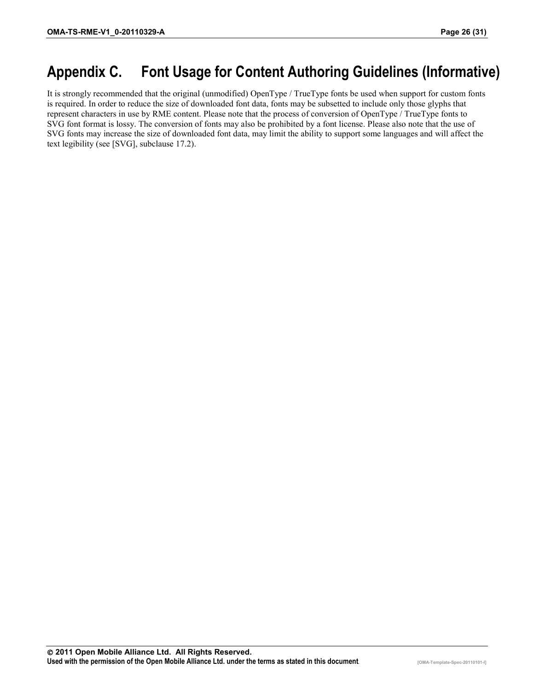# **Appendix C. Font Usage for Content Authoring Guidelines (Informative)**

It is strongly recommended that the original (unmodified) OpenType / TrueType fonts be used when support for custom fonts is required. In order to reduce the size of downloaded font data, fonts may be subsetted to include only those glyphs that represent characters in use by RME content. Please note that the process of conversion of OpenType / TrueType fonts to SVG font format is lossy. The conversion of fonts may also be prohibited by a font license. Please also note that the use of SVG fonts may increase the size of downloaded font data, may limit the ability to support some languages and will affect the text legibility (see [SVG], subclause 17.2).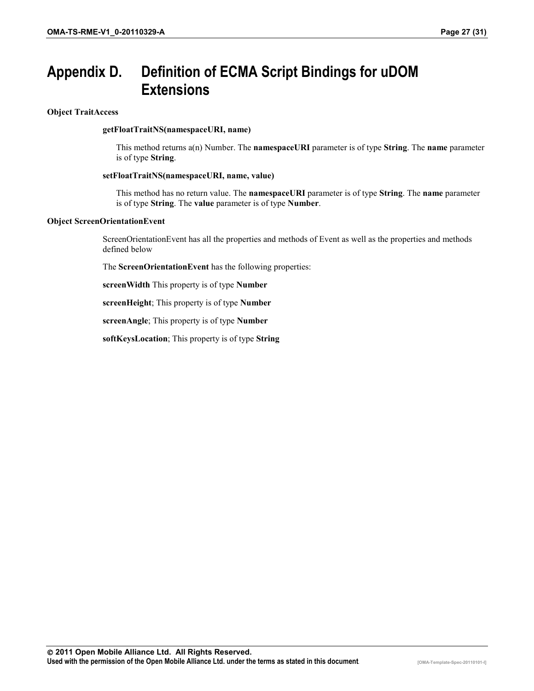# **Appendix D. Definition of ECMA Script Bindings for uDOM Extensions**

**Object TraitAccess** 

#### **getFloatTraitNS(namespaceURI, name)**

This method returns a(n) Number. The **namespaceURI** parameter is of type **String**. The **name** parameter is of type **String**.

#### **setFloatTraitNS(namespaceURI, name, value)**

This method has no return value. The **namespaceURI** parameter is of type **String**. The **name** parameter is of type **String**. The **value** parameter is of type **Number**.

#### **Object ScreenOrientationEvent**

ScreenOrientationEvent has all the properties and methods of Event as well as the properties and methods defined below

The **ScreenOrientationEvent** has the following properties:

**screenWidth** This property is of type **Number**

**screenHeight**; This property is of type **Number**

**screenAngle**; This property is of type **Number**

**softKeysLocation**; This property is of type **String**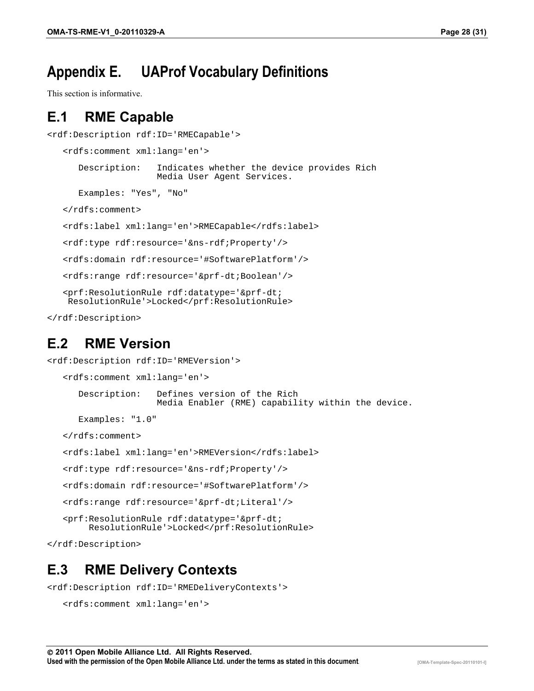# **Appendix E. UAProf Vocabulary Definitions**

This section is informative.

#### **E.1 RME Capable**

```
<rdf:Description rdf:ID='RMECapable'>
```

```
<rdfs:comment xml:lang='en'>
   Description: Indicates whether the device provides Rich
                  Media User Agent Services.
   Examples: "Yes", "No"
</rdfs:comment>
<rdfs:label xml:lang='en'>RMECapable</rdfs:label>
<rdf:type rdf:resource='&ns-rdf;Property'/>
<rdfs:domain rdf:resource='#SoftwarePlatform'/>
<rdfs:range rdf:resource='&prf-dt;Boolean'/>
<prf:ResolutionRule rdf:datatype='&prf-dt;
ResolutionRule'>Locked</prf:ResolutionRule>
```
</rdf:Description>

#### **E.2 RME Version**

```
<rdf:Description rdf:ID='RMEVersion'>
   <rdfs:comment xml:lang='en'>
      Description: Defines version of the Rich 
                     Media Enabler (RME) capability within the device.
      Examples: "1.0"
   </rdfs:comment>
   <rdfs:label xml:lang='en'>RMEVersion</rdfs:label>
   <rdf:type rdf:resource='&ns-rdf;Property'/>
   <rdfs:domain rdf:resource='#SoftwarePlatform'/>
   <rdfs:range rdf:resource='&prf-dt;Literal'/>
   <prf:ResolutionRule rdf:datatype='&prf-dt;
        ResolutionRule'>Locked</prf:ResolutionRule>
</rdf:Description>
```
#### **E.3 RME Delivery Contexts**

<rdf:Description rdf:ID='RMEDeliveryContexts'>

```
<rdfs:comment xml:lang='en'>
```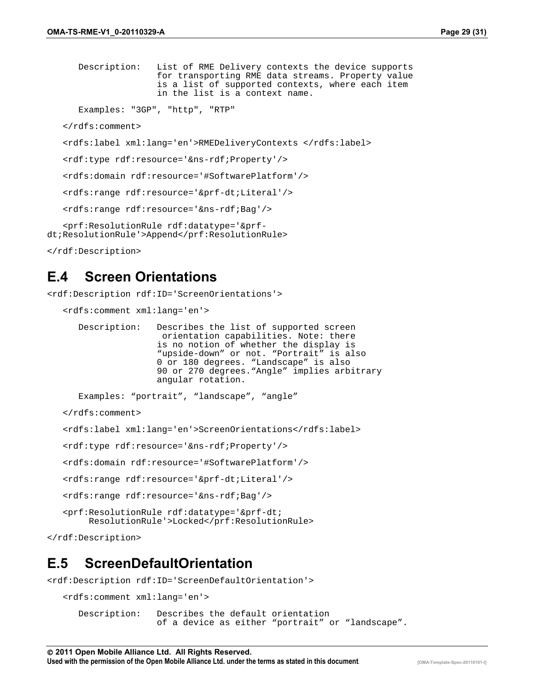Description: List of RME Delivery contexts the device supports for transporting RME data streams. Property value is a list of supported contexts, where each item in the list is a context name.

```
Examples: "3GP", "http", "RTP"
```
</rdfs:comment>

<rdfs:label xml:lang='en'>RMEDeliveryContexts </rdfs:label>

<rdf:type rdf:resource='&ns-rdf;Property'/>

<rdfs:domain rdf:resource='#SoftwarePlatform'/>

<rdfs:range rdf:resource='&prf-dt;Literal'/>

<rdfs:range rdf:resource='&ns-rdf;Bag'/>

<prf:ResolutionRule rdf:datatype='&prfdt;ResolutionRule'>Append</prf:ResolutionRule>

```
</rdf:Description>
```
#### **E.4 Screen Orientations**

<rdf:Description rdf:ID='ScreenOrientations'>

```
<rdfs:comment xml:lang='en'>
```

| Description: | Describes the list of supported screen       |
|--------------|----------------------------------------------|
|              | orientation capabilities. Note: there        |
|              | is no notion of whether the display is       |
|              | "upside-down" or not. "Portrait" is also     |
|              | 0 or 180 degrees. "Landscape" is also        |
|              | 90 or 270 degrees. "Angle" implies arbitrary |
|              | angular rotation.                            |

```
Examples: "portrait", "landscape", "angle"
```
</rdfs:comment>

```
<rdfs:label xml:lang='en'>ScreenOrientations</rdfs:label>
```
<rdf:type rdf:resource='&ns-rdf;Property'/>

<rdfs:domain rdf:resource='#SoftwarePlatform'/>

```
<rdfs:range rdf:resource='&prf-dt;Literal'/>
```
<rdfs:range rdf:resource='&ns-rdf;Bag'/>

```
<prf:ResolutionRule rdf:datatype='&prf-dt;
    ResolutionRule'>Locked</prf:ResolutionRule>
```
</rdf:Description>

#### **E.5 ScreenDefaultOrientation**

<rdf:Description rdf:ID='ScreenDefaultOrientation'>

```
<rdfs:comment xml:lang='en'>
   Description: Describes the default orientation 
                  of a device as either "portrait" or "landscape".
```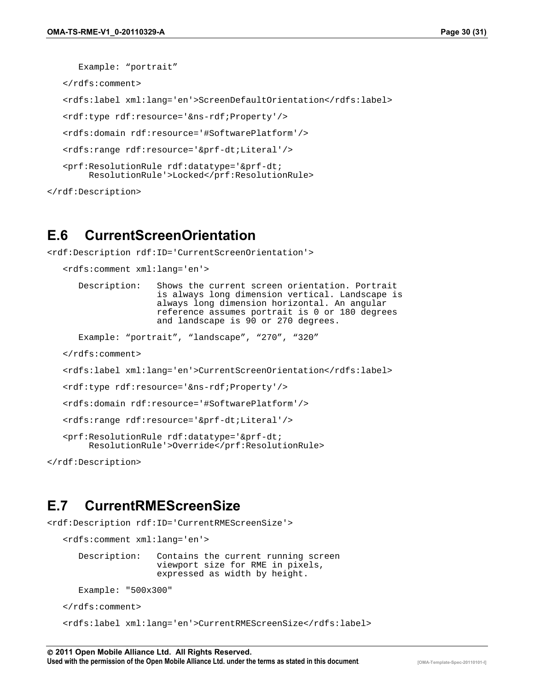Example: "portrait"

</rdfs:comment>

<rdfs:label xml:lang='en'>ScreenDefaultOrientation</rdfs:label>

```
<rdf:type rdf:resource='&ns-rdf;Property'/>
```
<rdfs:domain rdf:resource='#SoftwarePlatform'/>

```
<rdfs:range rdf:resource='&prf-dt;Literal'/>
```

```
<prf:ResolutionRule rdf:datatype='&prf-dt;
    ResolutionRule'>Locked</prf:ResolutionRule>
```

```
</rdf:Description>
```
#### **E.6 CurrentScreenOrientation**

<rdf:Description rdf:ID='CurrentScreenOrientation'>

```
<rdfs:comment xml:lang='en'>
```

| Description: | Shows the current screen orientation. Portrait  |
|--------------|-------------------------------------------------|
|              | is always long dimension vertical. Landscape is |
|              | always long dimension horizontal. An angular    |
|              | reference assumes portrait is 0 or 180 degrees  |
|              | and landscape is 90 or 270 degrees.             |

Example: "portrait", "landscape", "270", "320"

</rdfs:comment>

```
<rdfs:label xml:lang='en'>CurrentScreenOrientation</rdfs:label>
```
<rdf:type rdf:resource='&ns-rdf;Property'/>

<rdfs:domain rdf:resource='#SoftwarePlatform'/>

<rdfs:range rdf:resource='&prf-dt;Literal'/>

<prf:ResolutionRule rdf:datatype='&prf-dt; ResolutionRule'>Override</prf:ResolutionRule>

</rdf:Description>

#### **E.7 CurrentRMEScreenSize**

<rdf:Description rdf:ID='CurrentRMEScreenSize'>

```
<rdfs:comment xml:lang='en'>
   Description: Contains the current running screen 
                  viewport size for RME in pixels, 
                  expressed as width by height.
   Example: "500x300"
</rdfs:comment>
<rdfs:label xml:lang='en'>CurrentRMEScreenSize</rdfs:label>
```